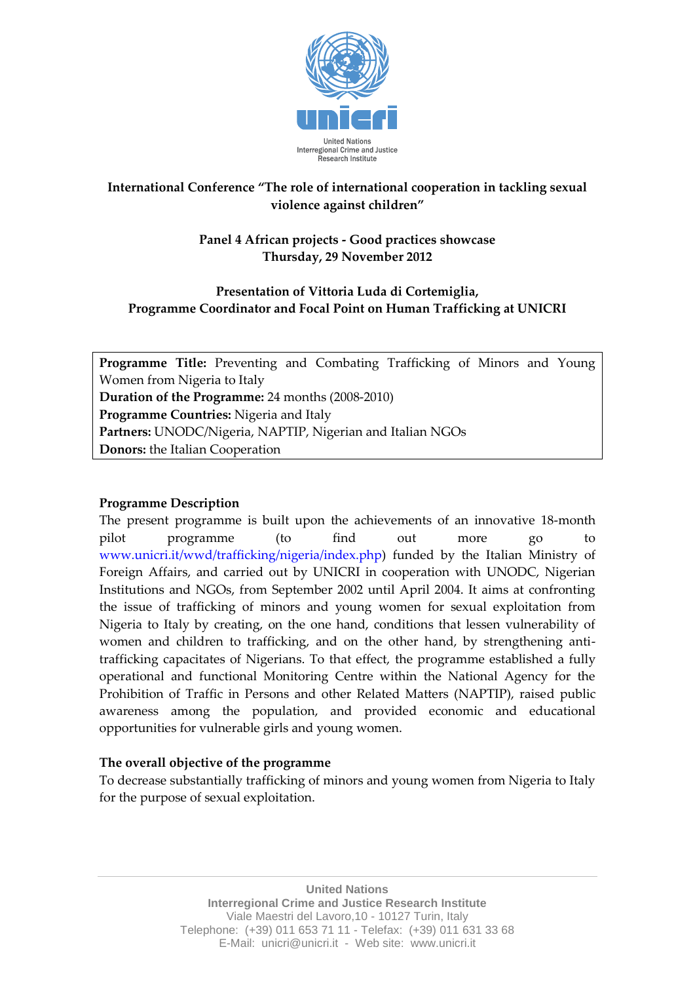

# **International Conference "The role of international cooperation in tackling sexual violence against children"**

## **Panel 4 African projects - Good practices showcase Thursday, 29 November 2012**

# **Presentation of Vittoria Luda di Cortemiglia, Programme Coordinator and Focal Point on Human Trafficking at UNICRI**

**Programme Title:** Preventing and Combating Trafficking of Minors and Young Women from Nigeria to Italy **Duration of the Programme:** 24 months (2008-2010) **Programme Countries:** Nigeria and Italy **Partners:** UNODC/Nigeria, NAPTIP, Nigerian and Italian NGOs **Donors:** the Italian Cooperation

# **Programme Description**

The present programme is built upon the achievements of an innovative 18-month pilot programme (to find out more go to www.unicri.it/wwd/trafficking/nigeria/index.php) funded by the Italian Ministry of Foreign Affairs, and carried out by UNICRI in cooperation with UNODC, Nigerian Institutions and NGOs, from September 2002 until April 2004. It aims at confronting the issue of trafficking of minors and young women for sexual exploitation from Nigeria to Italy by creating, on the one hand, conditions that lessen vulnerability of women and children to trafficking, and on the other hand, by strengthening antitrafficking capacitates of Nigerians. To that effect, the programme established a fully operational and functional Monitoring Centre within the National Agency for the Prohibition of Traffic in Persons and other Related Matters (NAPTIP), raised public awareness among the population, and provided economic and educational opportunities for vulnerable girls and young women.

#### **The overall objective of the programme**

To decrease substantially trafficking of minors and young women from Nigeria to Italy for the purpose of sexual exploitation.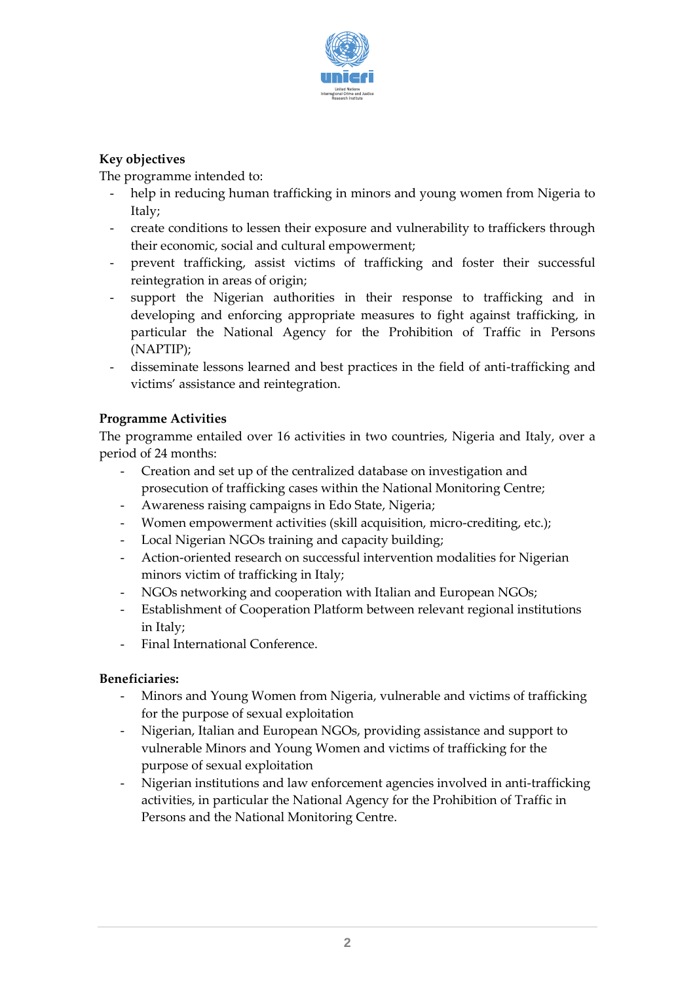

## **Key objectives**

The programme intended to:

- help in reducing human trafficking in minors and young women from Nigeria to Italy;
- create conditions to lessen their exposure and vulnerability to traffickers through their economic, social and cultural empowerment;
- prevent trafficking, assist victims of trafficking and foster their successful reintegration in areas of origin;
- support the Nigerian authorities in their response to trafficking and in developing and enforcing appropriate measures to fight against trafficking, in particular the National Agency for the Prohibition of Traffic in Persons (NAPTIP);
- disseminate lessons learned and best practices in the field of anti-trafficking and victims' assistance and reintegration.

## **Programme Activities**

The programme entailed over 16 activities in two countries, Nigeria and Italy, over a period of 24 months:

- Creation and set up of the centralized database on investigation and prosecution of trafficking cases within the National Monitoring Centre;
- Awareness raising campaigns in Edo State, Nigeria;
- Women empowerment activities (skill acquisition, micro-crediting, etc.);
- Local Nigerian NGOs training and capacity building;
- Action-oriented research on successful intervention modalities for Nigerian minors victim of trafficking in Italy;
- NGOs networking and cooperation with Italian and European NGOs;
- Establishment of Cooperation Platform between relevant regional institutions in Italy;
- Final International Conference.

#### **Beneficiaries:**

- Minors and Young Women from Nigeria, vulnerable and victims of trafficking for the purpose of sexual exploitation
- Nigerian, Italian and European NGOs, providing assistance and support to vulnerable Minors and Young Women and victims of trafficking for the purpose of sexual exploitation
- Nigerian institutions and law enforcement agencies involved in anti-trafficking activities, in particular the National Agency for the Prohibition of Traffic in Persons and the National Monitoring Centre.